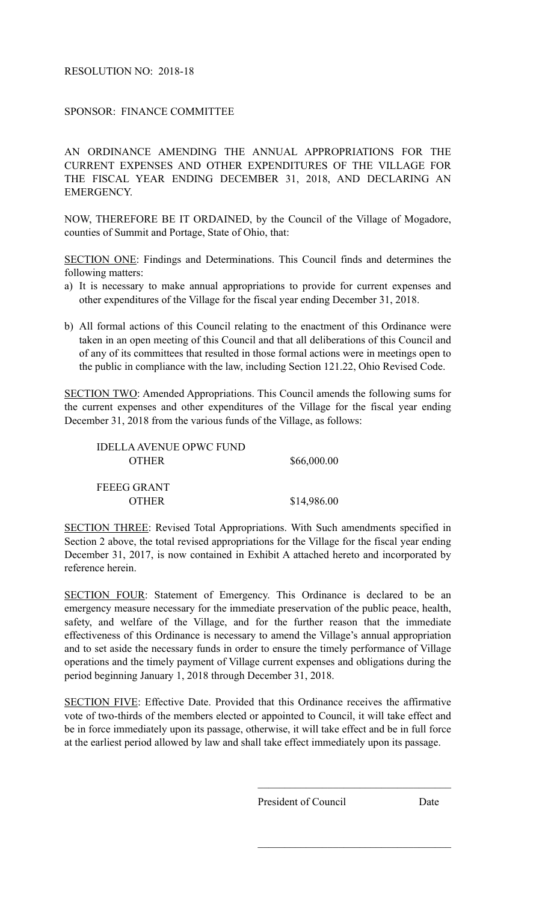## RESOLUTION NO: 2018-18

SPONSOR: FINANCE COMMITTEE

AN ORDINANCE AMENDING THE ANNUAL APPROPRIATIONS FOR THE CURRENT EXPENSES AND OTHER EXPENDITURES OF THE VILLAGE FOR THE FISCAL YEAR ENDING DECEMBER 31, 2018, AND DECLARING AN EMERGENCY.

NOW, THEREFORE BE IT ORDAINED, by the Council of the Village of Mogadore, counties of Summit and Portage, State of Ohio, that:

SECTION ONE: Findings and Determinations. This Council finds and determines the following matters:

- a) It is necessary to make annual appropriations to provide for current expenses and other expenditures of the Village for the fiscal year ending December 31, 2018.
- b) All formal actions of this Council relating to the enactment of this Ordinance were taken in an open meeting of this Council and that all deliberations of this Council and of any of its committees that resulted in those formal actions were in meetings open to the public in compliance with the law, including Section 121.22, Ohio Revised Code.

SECTION TWO: Amended Appropriations. This Council amends the following sums for the current expenses and other expenditures of the Village for the fiscal year ending December 31, 2018 from the various funds of the Village, as follows:

| IDELLA AVENUE OPWC FUND |             |
|-------------------------|-------------|
| <b>OTHER</b>            | \$66,000.00 |
|                         |             |
| FEEEG GRANT             |             |
| <b>OTHER</b>            | \$14,986.00 |

SECTION THREE: Revised Total Appropriations. With Such amendments specified in Section 2 above, the total revised appropriations for the Village for the fiscal year ending December 31, 2017, is now contained in Exhibit A attached hereto and incorporated by reference herein.

SECTION FOUR: Statement of Emergency. This Ordinance is declared to be an emergency measure necessary for the immediate preservation of the public peace, health, safety, and welfare of the Village, and for the further reason that the immediate effectiveness of this Ordinance is necessary to amend the Village's annual appropriation and to set aside the necessary funds in order to ensure the timely performance of Village operations and the timely payment of Village current expenses and obligations during the period beginning January 1, 2018 through December 31, 2018.

SECTION FIVE: Effective Date. Provided that this Ordinance receives the affirmative vote of two-thirds of the members elected or appointed to Council, it will take effect and be in force immediately upon its passage, otherwise, it will take effect and be in full force at the earliest period allowed by law and shall take effect immediately upon its passage.

 $\mathcal{L}_\text{max}$  and  $\mathcal{L}_\text{max}$  and  $\mathcal{L}_\text{max}$  and  $\mathcal{L}_\text{max}$ 

 $\mathcal{L}_\text{max}$  and  $\mathcal{L}_\text{max}$  and  $\mathcal{L}_\text{max}$  and  $\mathcal{L}_\text{max}$ 

President of Council Date